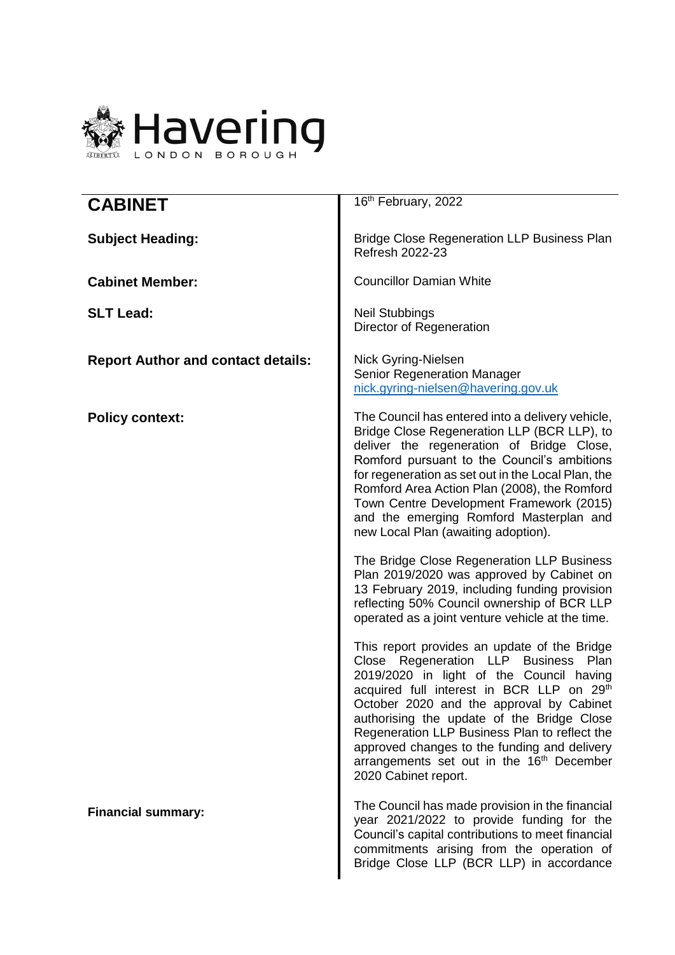

| <b>CABINET</b>                            | 16th February, 2022                                                                                                                                                                                                                                                                                                                                                                                                                                          |  |
|-------------------------------------------|--------------------------------------------------------------------------------------------------------------------------------------------------------------------------------------------------------------------------------------------------------------------------------------------------------------------------------------------------------------------------------------------------------------------------------------------------------------|--|
| <b>Subject Heading:</b>                   | <b>Bridge Close Regeneration LLP Business Plan</b><br>Refresh 2022-23                                                                                                                                                                                                                                                                                                                                                                                        |  |
| <b>Cabinet Member:</b>                    | <b>Councillor Damian White</b>                                                                                                                                                                                                                                                                                                                                                                                                                               |  |
| <b>SLT Lead:</b>                          | <b>Neil Stubbings</b><br>Director of Regeneration                                                                                                                                                                                                                                                                                                                                                                                                            |  |
| <b>Report Author and contact details:</b> | Nick Gyring-Nielsen<br>Senior Regeneration Manager<br>nick.gyring-nielsen@havering.gov.uk                                                                                                                                                                                                                                                                                                                                                                    |  |
| <b>Policy context:</b>                    | The Council has entered into a delivery vehicle,<br>Bridge Close Regeneration LLP (BCR LLP), to<br>deliver the regeneration of Bridge Close,<br>Romford pursuant to the Council's ambitions<br>for regeneration as set out in the Local Plan, the<br>Romford Area Action Plan (2008), the Romford<br>Town Centre Development Framework (2015)<br>and the emerging Romford Masterplan and<br>new Local Plan (awaiting adoption).                              |  |
|                                           | The Bridge Close Regeneration LLP Business<br>Plan 2019/2020 was approved by Cabinet on<br>13 February 2019, including funding provision<br>reflecting 50% Council ownership of BCR LLP<br>operated as a joint venture vehicle at the time.                                                                                                                                                                                                                  |  |
|                                           | This report provides an update of the Bridge<br>Close Regeneration LLP Business<br>Plan<br>2019/2020 in light of the Council having<br>acquired full interest in BCR LLP on 29th<br>October 2020 and the approval by Cabinet<br>authorising the update of the Bridge Close<br>Regeneration LLP Business Plan to reflect the<br>approved changes to the funding and delivery<br>arrangements set out in the 16 <sup>th</sup> December<br>2020 Cabinet report. |  |
| <b>Financial summary:</b>                 | The Council has made provision in the financial<br>year 2021/2022 to provide funding for the<br>Council's capital contributions to meet financial<br>commitments arising from the operation of<br>Bridge Close LLP (BCR LLP) in accordance                                                                                                                                                                                                                   |  |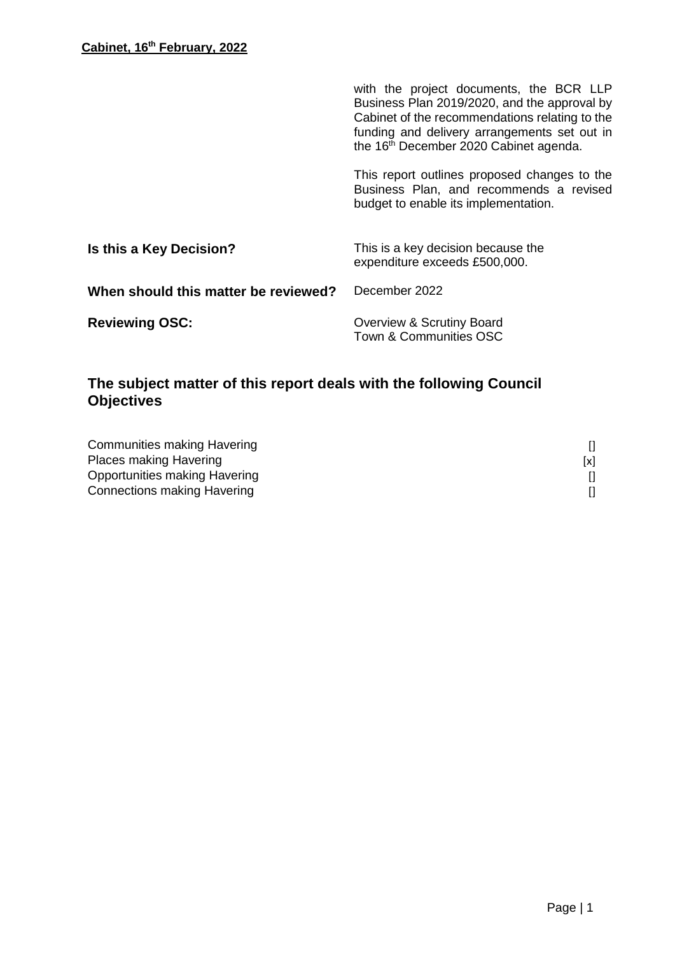|                                      | with the project documents, the BCR LLP<br>Business Plan 2019/2020, and the approval by<br>Cabinet of the recommendations relating to the<br>funding and delivery arrangements set out in<br>the 16th December 2020 Cabinet agenda. |
|--------------------------------------|-------------------------------------------------------------------------------------------------------------------------------------------------------------------------------------------------------------------------------------|
|                                      | This report outlines proposed changes to the<br>Business Plan, and recommends a revised<br>budget to enable its implementation.                                                                                                     |
| Is this a Key Decision?              | This is a key decision because the<br>expenditure exceeds £500,000.                                                                                                                                                                 |
| When should this matter be reviewed? | December 2022                                                                                                                                                                                                                       |
| <b>Reviewing OSC:</b>                | Overview & Scrutiny Board<br><b>Town &amp; Communities OSC</b>                                                                                                                                                                      |

# **The subject matter of this report deals with the following Council Objectives**

| Communities making Havering   |     |
|-------------------------------|-----|
| Places making Havering        | [x] |
| Opportunities making Havering |     |
| Connections making Havering   |     |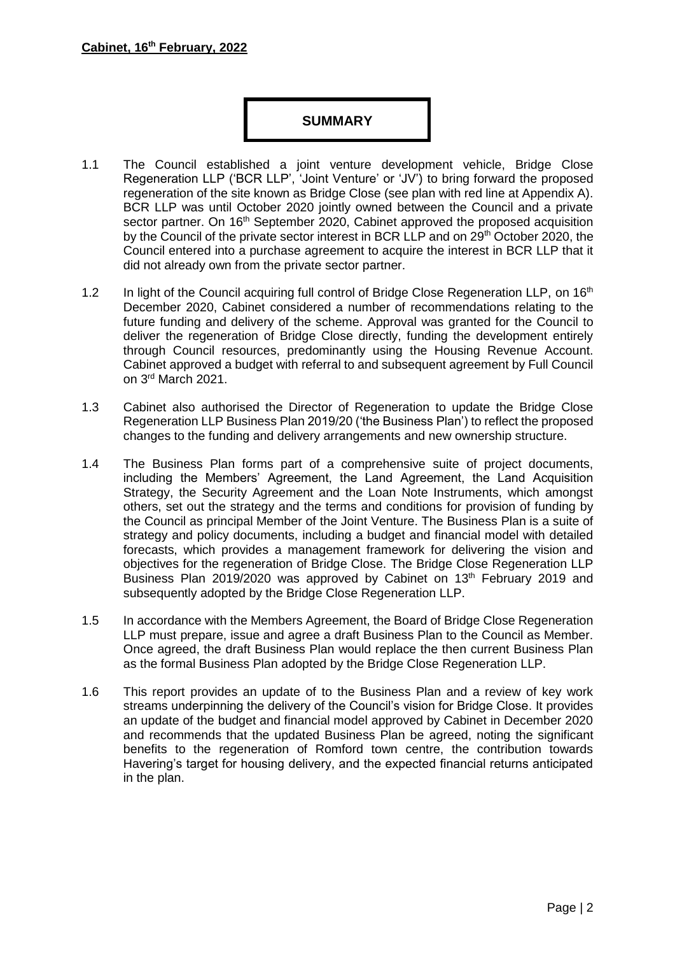# **SUMMARY**

- 1.1 The Council established a joint venture development vehicle, Bridge Close Regeneration LLP ('BCR LLP', 'Joint Venture' or 'JV') to bring forward the proposed regeneration of the site known as Bridge Close (see plan with red line at Appendix A). BCR LLP was until October 2020 jointly owned between the Council and a private sector partner. On 16<sup>th</sup> September 2020, Cabinet approved the proposed acquisition by the Council of the private sector interest in BCR LLP and on 29<sup>th</sup> October 2020, the Council entered into a purchase agreement to acquire the interest in BCR LLP that it did not already own from the private sector partner.
- 1.2 In light of the Council acquiring full control of Bridge Close Regeneration LLP, on 16<sup>th</sup> December 2020, Cabinet considered a number of recommendations relating to the future funding and delivery of the scheme. Approval was granted for the Council to deliver the regeneration of Bridge Close directly, funding the development entirely through Council resources, predominantly using the Housing Revenue Account. Cabinet approved a budget with referral to and subsequent agreement by Full Council on 3rd March 2021.
- 1.3 Cabinet also authorised the Director of Regeneration to update the Bridge Close Regeneration LLP Business Plan 2019/20 ('the Business Plan') to reflect the proposed changes to the funding and delivery arrangements and new ownership structure.
- 1.4 The Business Plan forms part of a comprehensive suite of project documents, including the Members' Agreement, the Land Agreement, the Land Acquisition Strategy, the Security Agreement and the Loan Note Instruments, which amongst others, set out the strategy and the terms and conditions for provision of funding by the Council as principal Member of the Joint Venture. The Business Plan is a suite of strategy and policy documents, including a budget and financial model with detailed forecasts, which provides a management framework for delivering the vision and objectives for the regeneration of Bridge Close. The Bridge Close Regeneration LLP Business Plan 2019/2020 was approved by Cabinet on 13<sup>th</sup> February 2019 and subsequently adopted by the Bridge Close Regeneration LLP.
- 1.5 In accordance with the Members Agreement, the Board of Bridge Close Regeneration LLP must prepare, issue and agree a draft Business Plan to the Council as Member. Once agreed, the draft Business Plan would replace the then current Business Plan as the formal Business Plan adopted by the Bridge Close Regeneration LLP.
- 1.6 This report provides an update of to the Business Plan and a review of key work streams underpinning the delivery of the Council's vision for Bridge Close. It provides an update of the budget and financial model approved by Cabinet in December 2020 and recommends that the updated Business Plan be agreed, noting the significant benefits to the regeneration of Romford town centre, the contribution towards Havering's target for housing delivery, and the expected financial returns anticipated in the plan.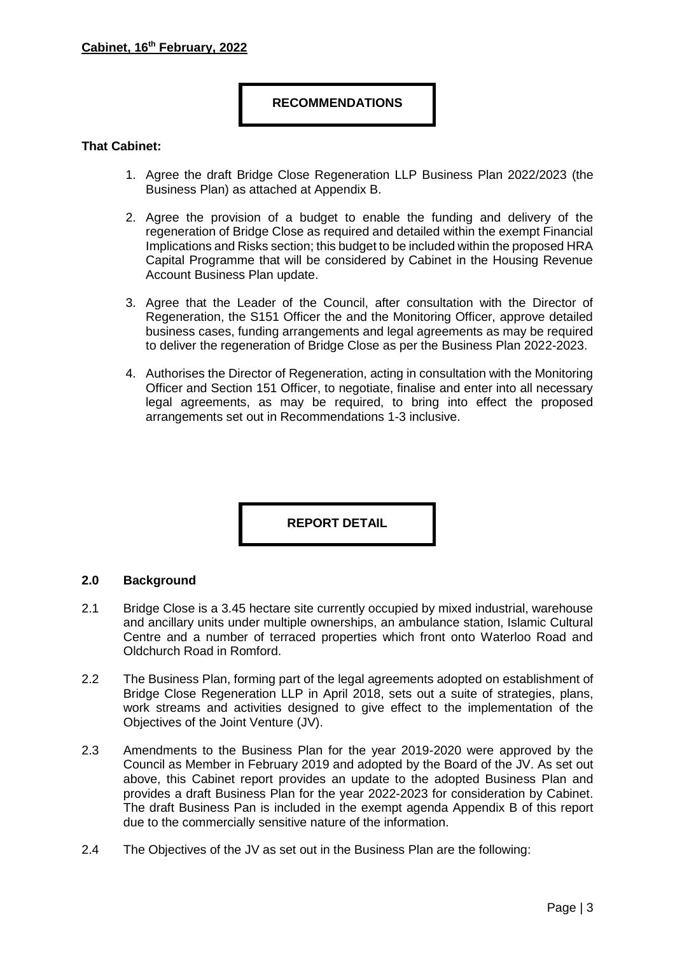### **RECOMMENDATIONS**

### **That Cabinet:**

- 1. Agree the draft Bridge Close Regeneration LLP Business Plan 2022/2023 (the Business Plan) as attached at Appendix B.
- 2. Agree the provision of a budget to enable the funding and delivery of the regeneration of Bridge Close as required and detailed within the exempt Financial Implications and Risks section; this budget to be included within the proposed HRA Capital Programme that will be considered by Cabinet in the Housing Revenue Account Business Plan update.
- 3. Agree that the Leader of the Council, after consultation with the Director of Regeneration, the S151 Officer the and the Monitoring Officer, approve detailed business cases, funding arrangements and legal agreements as may be required to deliver the regeneration of Bridge Close as per the Business Plan 2022-2023.
- 4. Authorises the Director of Regeneration, acting in consultation with the Monitoring Officer and Section 151 Officer, to negotiate, finalise and enter into all necessary legal agreements, as may be required, to bring into effect the proposed arrangements set out in Recommendations 1-3 inclusive.

**REPORT DETAIL**

#### **2.0 Background**

- 2.1 Bridge Close is a 3.45 hectare site currently occupied by mixed industrial, warehouse and ancillary units under multiple ownerships, an ambulance station, Islamic Cultural Centre and a number of terraced properties which front onto Waterloo Road and Oldchurch Road in Romford.
- 2.2 The Business Plan, forming part of the legal agreements adopted on establishment of Bridge Close Regeneration LLP in April 2018, sets out a suite of strategies, plans, work streams and activities designed to give effect to the implementation of the Objectives of the Joint Venture (JV).
- 2.3 Amendments to the Business Plan for the year 2019-2020 were approved by the Council as Member in February 2019 and adopted by the Board of the JV. As set out above, this Cabinet report provides an update to the adopted Business Plan and provides a draft Business Plan for the year 2022-2023 for consideration by Cabinet. The draft Business Pan is included in the exempt agenda Appendix B of this report due to the commercially sensitive nature of the information.
- 2.4 The Objectives of the JV as set out in the Business Plan are the following: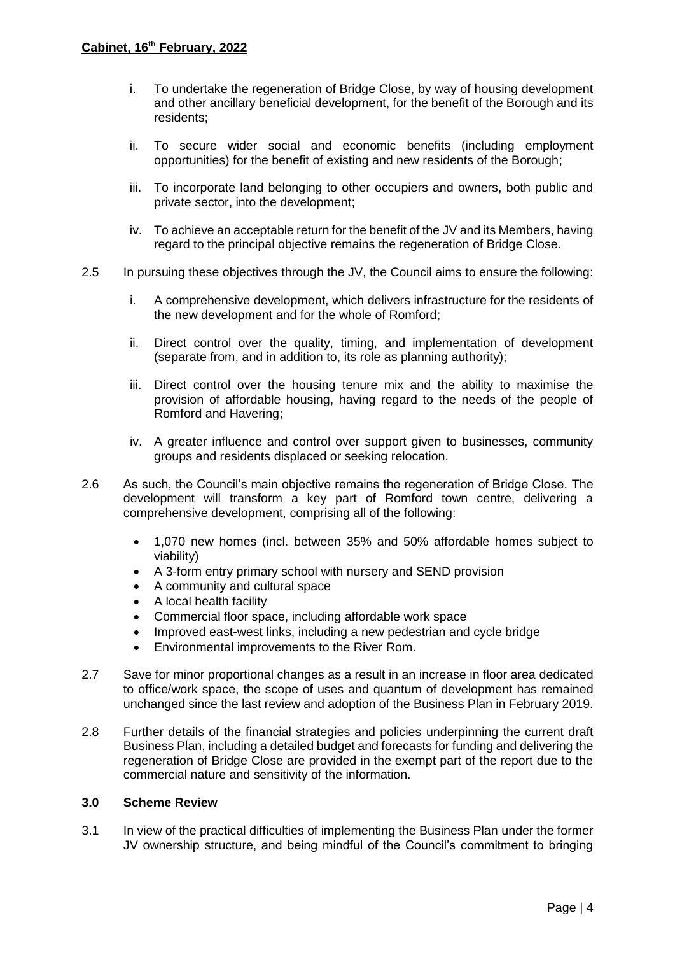- i. To undertake the regeneration of Bridge Close, by way of housing development and other ancillary beneficial development, for the benefit of the Borough and its residents;
- ii. To secure wider social and economic benefits (including employment opportunities) for the benefit of existing and new residents of the Borough;
- iii. To incorporate land belonging to other occupiers and owners, both public and private sector, into the development;
- iv. To achieve an acceptable return for the benefit of the JV and its Members, having regard to the principal objective remains the regeneration of Bridge Close.
- 2.5 In pursuing these objectives through the JV, the Council aims to ensure the following:
	- i. A comprehensive development, which delivers infrastructure for the residents of the new development and for the whole of Romford;
	- ii. Direct control over the quality, timing, and implementation of development (separate from, and in addition to, its role as planning authority);
	- iii. Direct control over the housing tenure mix and the ability to maximise the provision of affordable housing, having regard to the needs of the people of Romford and Havering;
	- iv. A greater influence and control over support given to businesses, community groups and residents displaced or seeking relocation.
- 2.6 As such, the Council's main objective remains the regeneration of Bridge Close. The development will transform a key part of Romford town centre, delivering a comprehensive development, comprising all of the following:
	- 1,070 new homes (incl. between 35% and 50% affordable homes subject to viability)
	- A 3-form entry primary school with nursery and SEND provision
	- A community and cultural space
	- A local health facility
	- Commercial floor space, including affordable work space
	- Improved east-west links, including a new pedestrian and cycle bridge
	- Environmental improvements to the River Rom.
- 2.7 Save for minor proportional changes as a result in an increase in floor area dedicated to office/work space, the scope of uses and quantum of development has remained unchanged since the last review and adoption of the Business Plan in February 2019.
- 2.8 Further details of the financial strategies and policies underpinning the current draft Business Plan, including a detailed budget and forecasts for funding and delivering the regeneration of Bridge Close are provided in the exempt part of the report due to the commercial nature and sensitivity of the information.

#### **3.0 Scheme Review**

3.1 In view of the practical difficulties of implementing the Business Plan under the former JV ownership structure, and being mindful of the Council's commitment to bringing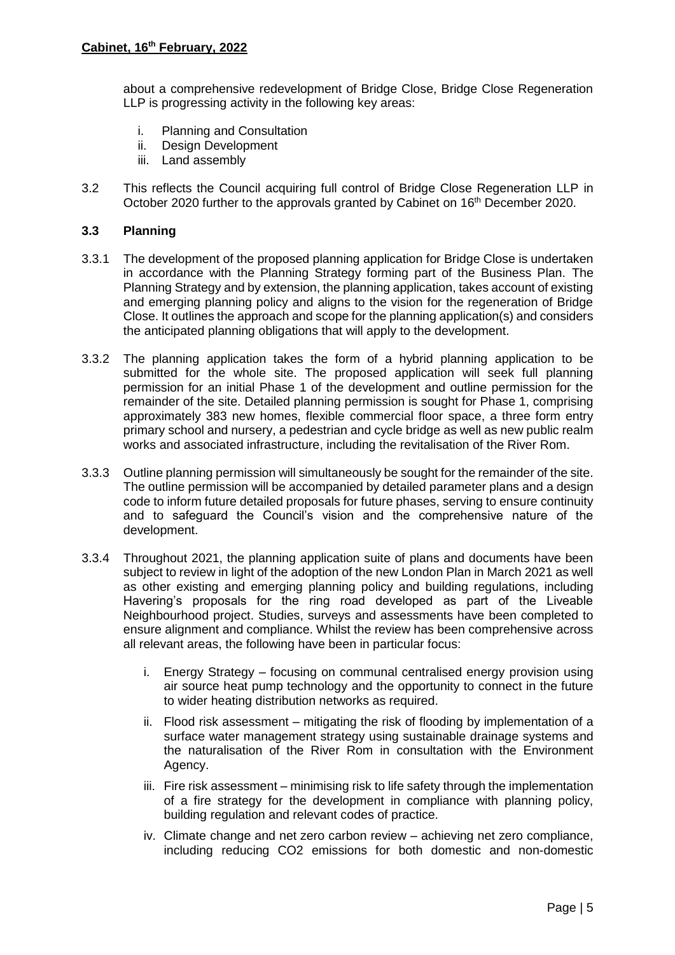about a comprehensive redevelopment of Bridge Close, Bridge Close Regeneration LLP is progressing activity in the following key areas:

- i. Planning and Consultation
- ii. Design Development
- iii. Land assembly
- 3.2 This reflects the Council acquiring full control of Bridge Close Regeneration LLP in October 2020 further to the approvals granted by Cabinet on 16<sup>th</sup> December 2020.

## **3.3 Planning**

- 3.3.1 The development of the proposed planning application for Bridge Close is undertaken in accordance with the Planning Strategy forming part of the Business Plan. The Planning Strategy and by extension, the planning application, takes account of existing and emerging planning policy and aligns to the vision for the regeneration of Bridge Close. It outlines the approach and scope for the planning application(s) and considers the anticipated planning obligations that will apply to the development.
- 3.3.2 The planning application takes the form of a hybrid planning application to be submitted for the whole site. The proposed application will seek full planning permission for an initial Phase 1 of the development and outline permission for the remainder of the site. Detailed planning permission is sought for Phase 1, comprising approximately 383 new homes, flexible commercial floor space, a three form entry primary school and nursery, a pedestrian and cycle bridge as well as new public realm works and associated infrastructure, including the revitalisation of the River Rom.
- 3.3.3 Outline planning permission will simultaneously be sought for the remainder of the site. The outline permission will be accompanied by detailed parameter plans and a design code to inform future detailed proposals for future phases, serving to ensure continuity and to safeguard the Council's vision and the comprehensive nature of the development.
- <span id="page-5-0"></span>3.3.4 Throughout 2021, the planning application suite of plans and documents have been subject to review in light of the adoption of the new London Plan in March 2021 as well as other existing and emerging planning policy and building regulations, including Havering's proposals for the ring road developed as part of the Liveable Neighbourhood project. Studies, surveys and assessments have been completed to ensure alignment and compliance. Whilst the review has been comprehensive across all relevant areas, the following have been in particular focus:
	- i. Energy Strategy focusing on communal centralised energy provision using air source heat pump technology and the opportunity to connect in the future to wider heating distribution networks as required.
	- ii. Flood risk assessment mitigating the risk of flooding by implementation of a surface water management strategy using sustainable drainage systems and the naturalisation of the River Rom in consultation with the Environment Agency.
	- iii. Fire risk assessment minimising risk to life safety through the implementation of a fire strategy for the development in compliance with planning policy, building regulation and relevant codes of practice.
	- iv. Climate change and net zero carbon review achieving net zero compliance, including reducing CO2 emissions for both domestic and non-domestic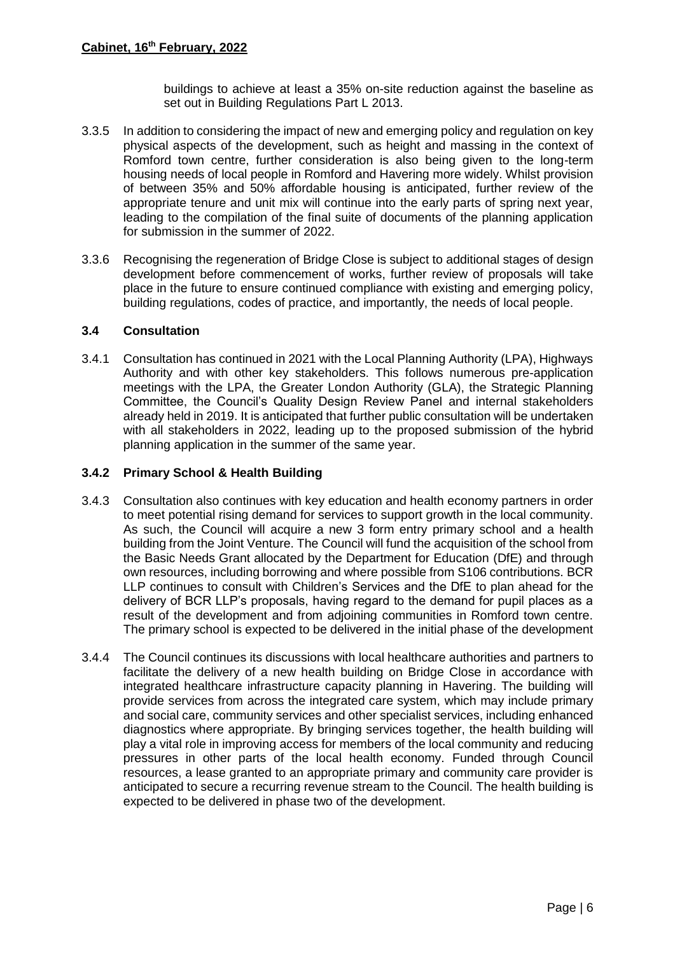buildings to achieve at least a 35% on-site reduction against the baseline as set out in Building Regulations Part L 2013.

- <span id="page-6-1"></span>3.3.5 In addition to considering the impact of new and emerging policy and regulation on key physical aspects of the development, such as height and massing in the context of Romford town centre, further consideration is also being given to the long-term housing needs of local people in Romford and Havering more widely. Whilst provision of between 35% and 50% affordable housing is anticipated, further review of the appropriate tenure and unit mix will continue into the early parts of spring next year, leading to the compilation of the final suite of documents of the planning application for submission in the summer of 2022.
- 3.3.6 Recognising the regeneration of Bridge Close is subject to additional stages of design development before commencement of works, further review of proposals will take place in the future to ensure continued compliance with existing and emerging policy, building regulations, codes of practice, and importantly, the needs of local people.

# **3.4 Consultation**

<span id="page-6-0"></span>3.4.1 Consultation has continued in 2021 with the Local Planning Authority (LPA), Highways Authority and with other key stakeholders. This follows numerous pre-application meetings with the LPA, the Greater London Authority (GLA), the Strategic Planning Committee, the Council's Quality Design Review Panel and internal stakeholders already held in 2019. It is anticipated that further public consultation will be undertaken with all stakeholders in 2022, leading up to the proposed submission of the hybrid planning application in the summer of the same year.

## **3.4.2 Primary School & Health Building**

- 3.4.3 Consultation also continues with key education and health economy partners in order to meet potential rising demand for services to support growth in the local community. As such, the Council will acquire a new 3 form entry primary school and a health building from the Joint Venture. The Council will fund the acquisition of the school from the Basic Needs Grant allocated by the Department for Education (DfE) and through own resources, including borrowing and where possible from S106 contributions. BCR LLP continues to consult with Children's Services and the DfE to plan ahead for the delivery of BCR LLP's proposals, having regard to the demand for pupil places as a result of the development and from adjoining communities in Romford town centre. The primary school is expected to be delivered in the initial phase of the development
- 3.4.4 The Council continues its discussions with local healthcare authorities and partners to facilitate the delivery of a new health building on Bridge Close in accordance with integrated healthcare infrastructure capacity planning in Havering. The building will provide services from across the integrated care system, which may include primary and social care, community services and other specialist services, including enhanced diagnostics where appropriate. By bringing services together, the health building will play a vital role in improving access for members of the local community and reducing pressures in other parts of the local health economy. Funded through Council resources, a lease granted to an appropriate primary and community care provider is anticipated to secure a recurring revenue stream to the Council. The health building is expected to be delivered in phase two of the development.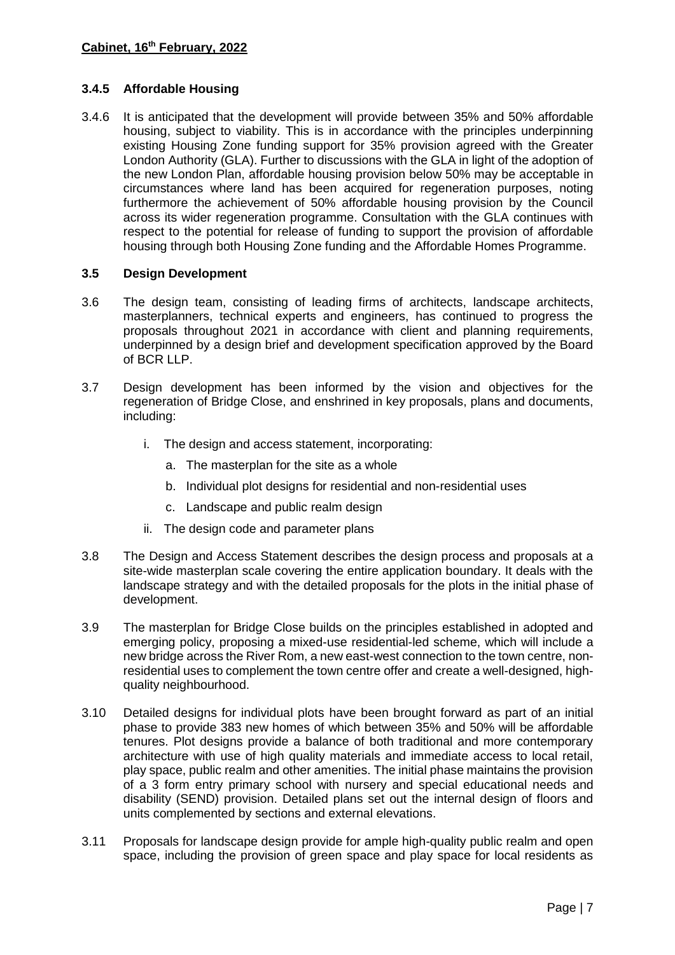# **3.4.5 Affordable Housing**

3.4.6 It is anticipated that the development will provide between 35% and 50% affordable housing, subject to viability. This is in accordance with the principles underpinning existing Housing Zone funding support for 35% provision agreed with the Greater London Authority (GLA). Further to discussions with the GLA in light of the adoption of the new London Plan, affordable housing provision below 50% may be acceptable in circumstances where land has been acquired for regeneration purposes, noting furthermore the achievement of 50% affordable housing provision by the Council across its wider regeneration programme. Consultation with the GLA continues with respect to the potential for release of funding to support the provision of affordable housing through both Housing Zone funding and the Affordable Homes Programme.

## **3.5 Design Development**

- 3.6 The design team, consisting of leading firms of architects, landscape architects, masterplanners, technical experts and engineers, has continued to progress the proposals throughout 2021 in accordance with client and planning requirements, underpinned by a design brief and development specification approved by the Board of BCR LLP.
- 3.7 Design development has been informed by the vision and objectives for the regeneration of Bridge Close, and enshrined in key proposals, plans and documents, including:
	- i. The design and access statement, incorporating:
		- a. The masterplan for the site as a whole
		- b. Individual plot designs for residential and non-residential uses
		- c. Landscape and public realm design
	- ii. The design code and parameter plans
- 3.8 The Design and Access Statement describes the design process and proposals at a site-wide masterplan scale covering the entire application boundary. It deals with the landscape strategy and with the detailed proposals for the plots in the initial phase of development.
- 3.9 The masterplan for Bridge Close builds on the principles established in adopted and emerging policy, proposing a mixed-use residential-led scheme, which will include a new bridge across the River Rom, a new east-west connection to the town centre, nonresidential uses to complement the town centre offer and create a well-designed, highquality neighbourhood.
- 3.10 Detailed designs for individual plots have been brought forward as part of an initial phase to provide 383 new homes of which between 35% and 50% will be affordable tenures. Plot designs provide a balance of both traditional and more contemporary architecture with use of high quality materials and immediate access to local retail, play space, public realm and other amenities. The initial phase maintains the provision of a 3 form entry primary school with nursery and special educational needs and disability (SEND) provision. Detailed plans set out the internal design of floors and units complemented by sections and external elevations.
- 3.11 Proposals for landscape design provide for ample high-quality public realm and open space, including the provision of green space and play space for local residents as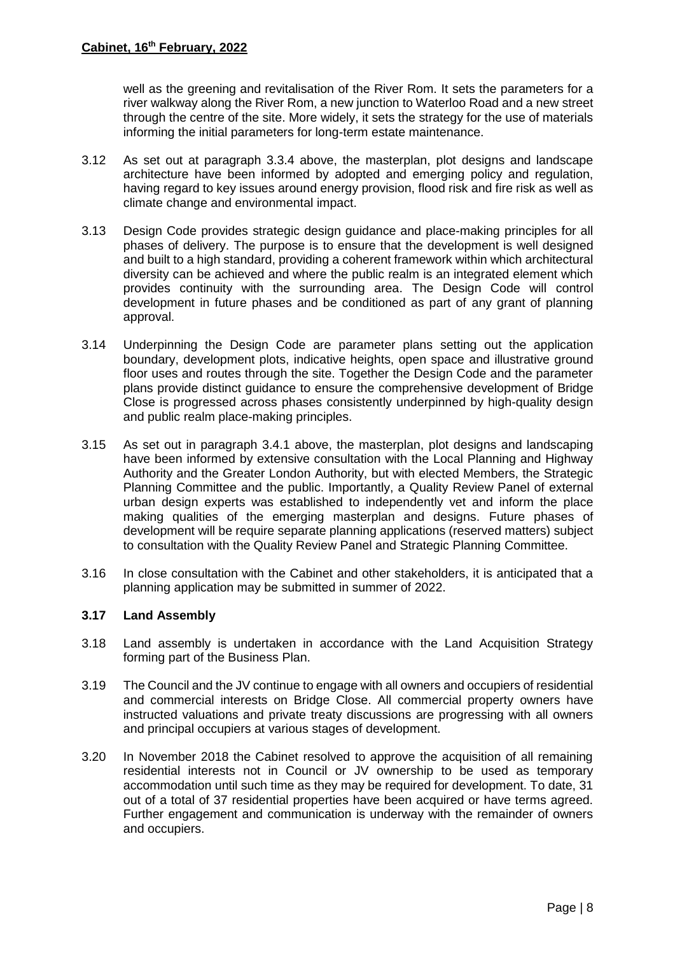well as the greening and revitalisation of the River Rom. It sets the parameters for a river walkway along the River Rom, a new junction to Waterloo Road and a new street through the centre of the site. More widely, it sets the strategy for the use of materials informing the initial parameters for long-term estate maintenance.

- 3.12 As set out at paragraph [3.3.4](#page-5-0) above, the masterplan, plot designs and landscape architecture have been informed by adopted and emerging policy and regulation, having regard to key issues around energy provision, flood risk and fire risk as well as climate change and environmental impact.
- 3.13 Design Code provides strategic design guidance and place-making principles for all phases of delivery. The purpose is to ensure that the development is well designed and built to a high standard, providing a coherent framework within which architectural diversity can be achieved and where the public realm is an integrated element which provides continuity with the surrounding area. The Design Code will control development in future phases and be conditioned as part of any grant of planning approval.
- 3.14 Underpinning the Design Code are parameter plans setting out the application boundary, development plots, indicative heights, open space and illustrative ground floor uses and routes through the site. Together the Design Code and the parameter plans provide distinct guidance to ensure the comprehensive development of Bridge Close is progressed across phases consistently underpinned by high-quality design and public realm place-making principles.
- 3.15 As set out in paragraph [3.4.1](#page-6-0) above, the masterplan, plot designs and landscaping have been informed by extensive consultation with the Local Planning and Highway Authority and the Greater London Authority, but with elected Members, the Strategic Planning Committee and the public. Importantly, a Quality Review Panel of external urban design experts was established to independently vet and inform the place making qualities of the emerging masterplan and designs. Future phases of development will be require separate planning applications (reserved matters) subject to consultation with the Quality Review Panel and Strategic Planning Committee.
- 3.16 In close consultation with the Cabinet and other stakeholders, it is anticipated that a planning application may be submitted in summer of 2022.

# **3.17 Land Assembly**

- 3.18 Land assembly is undertaken in accordance with the Land Acquisition Strategy forming part of the Business Plan.
- 3.19 The Council and the JV continue to engage with all owners and occupiers of residential and commercial interests on Bridge Close. All commercial property owners have instructed valuations and private treaty discussions are progressing with all owners and principal occupiers at various stages of development.
- 3.20 In November 2018 the Cabinet resolved to approve the acquisition of all remaining residential interests not in Council or JV ownership to be used as temporary accommodation until such time as they may be required for development. To date, 31 out of a total of 37 residential properties have been acquired or have terms agreed. Further engagement and communication is underway with the remainder of owners and occupiers.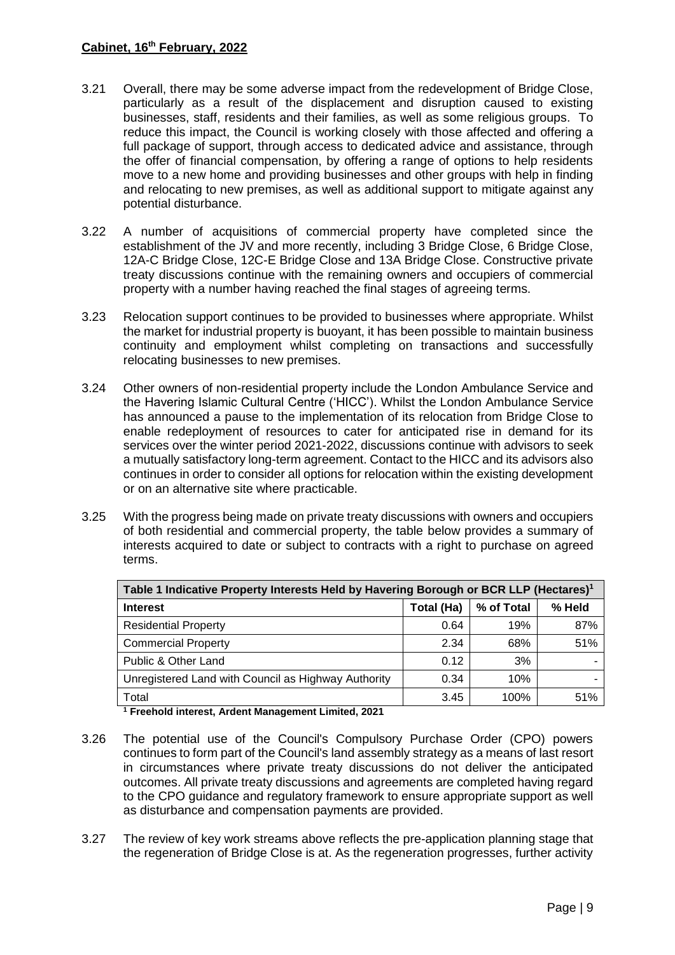- 3.21 Overall, there may be some adverse impact from the redevelopment of Bridge Close, particularly as a result of the displacement and disruption caused to existing businesses, staff, residents and their families, as well as some religious groups. To reduce this impact, the Council is working closely with those affected and offering a full package of support, through access to dedicated advice and assistance, through the offer of financial compensation, by offering a range of options to help residents move to a new home and providing businesses and other groups with help in finding and relocating to new premises, as well as additional support to mitigate against any potential disturbance.
- 3.22 A number of acquisitions of commercial property have completed since the establishment of the JV and more recently, including 3 Bridge Close, 6 Bridge Close, 12A-C Bridge Close, 12C-E Bridge Close and 13A Bridge Close. Constructive private treaty discussions continue with the remaining owners and occupiers of commercial property with a number having reached the final stages of agreeing terms.
- 3.23 Relocation support continues to be provided to businesses where appropriate. Whilst the market for industrial property is buoyant, it has been possible to maintain business continuity and employment whilst completing on transactions and successfully relocating businesses to new premises.
- 3.24 Other owners of non-residential property include the London Ambulance Service and the Havering Islamic Cultural Centre ('HICC'). Whilst the London Ambulance Service has announced a pause to the implementation of its relocation from Bridge Close to enable redeployment of resources to cater for anticipated rise in demand for its services over the winter period 2021-2022, discussions continue with advisors to seek a mutually satisfactory long-term agreement. Contact to the HICC and its advisors also continues in order to consider all options for relocation within the existing development or on an alternative site where practicable.
- 3.25 With the progress being made on private treaty discussions with owners and occupiers of both residential and commercial property, the table below provides a summary of interests acquired to date or subject to contracts with a right to purchase on agreed terms.

| Table 1 Indicative Property Interests Held by Havering Borough or BCR LLP (Hectares) <sup>1</sup> |            |            |        |  |  |
|---------------------------------------------------------------------------------------------------|------------|------------|--------|--|--|
| <b>Interest</b>                                                                                   | Total (Ha) | % of Total | % Held |  |  |
| <b>Residential Property</b>                                                                       | 0.64       | 19%        | 87%    |  |  |
| <b>Commercial Property</b>                                                                        | 2.34       | 68%        | 51%    |  |  |
| Public & Other Land                                                                               | 0.12       | 3%         |        |  |  |
| Unregistered Land with Council as Highway Authority                                               | 0.34       | 10%        |        |  |  |
| Total                                                                                             | 3.45       | 100%       | 51%    |  |  |
| 1 Easth ald beforest. Anderet Management Linds of A004                                            |            |            |        |  |  |

**<sup>1</sup> Freehold interest, Ardent Management Limited, 2021**

- 3.26 The potential use of the Council's Compulsory Purchase Order (CPO) powers continues to form part of the Council's land assembly strategy as a means of last resort in circumstances where private treaty discussions do not deliver the anticipated outcomes. All private treaty discussions and agreements are completed having regard to the CPO guidance and regulatory framework to ensure appropriate support as well as disturbance and compensation payments are provided.
- 3.27 The review of key work streams above reflects the pre-application planning stage that the regeneration of Bridge Close is at. As the regeneration progresses, further activity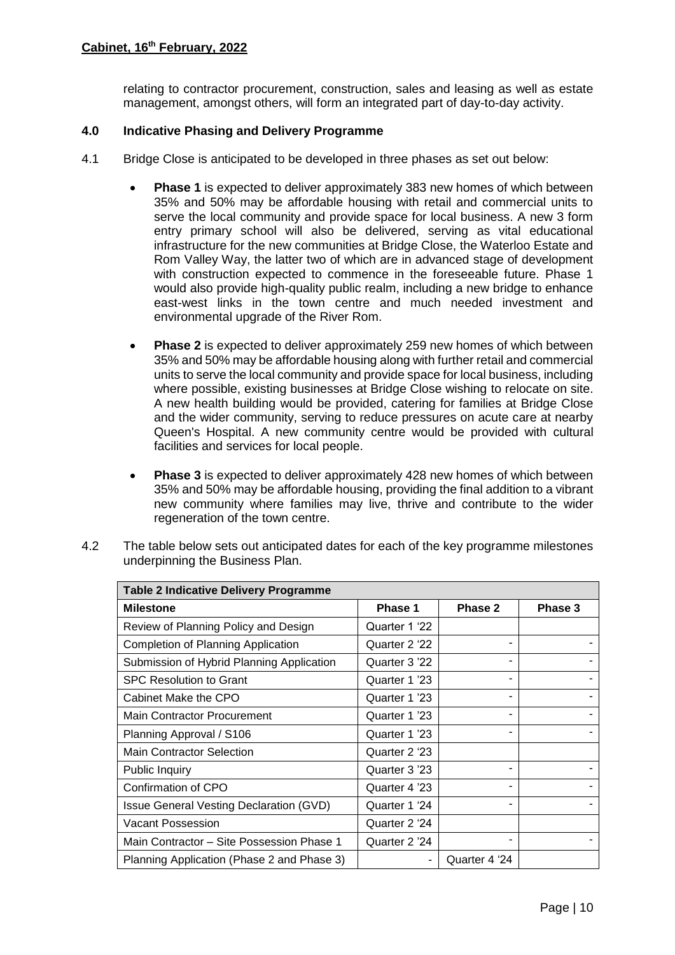relating to contractor procurement, construction, sales and leasing as well as estate management, amongst others, will form an integrated part of day-to-day activity.

### **4.0 Indicative Phasing and Delivery Programme**

- 4.1 Bridge Close is anticipated to be developed in three phases as set out below:
	- **Phase 1** is expected to deliver approximately 383 new homes of which between 35% and 50% may be affordable housing with retail and commercial units to serve the local community and provide space for local business. A new 3 form entry primary school will also be delivered, serving as vital educational infrastructure for the new communities at Bridge Close, the Waterloo Estate and Rom Valley Way, the latter two of which are in advanced stage of development with construction expected to commence in the foreseeable future. Phase 1 would also provide high-quality public realm, including a new bridge to enhance east-west links in the town centre and much needed investment and environmental upgrade of the River Rom.
	- **Phase 2** is expected to deliver approximately 259 new homes of which between 35% and 50% may be affordable housing along with further retail and commercial units to serve the local community and provide space for local business, including where possible, existing businesses at Bridge Close wishing to relocate on site. A new health building would be provided, catering for families at Bridge Close and the wider community, serving to reduce pressures on acute care at nearby Queen's Hospital. A new community centre would be provided with cultural facilities and services for local people.
	- **Phase 3** is expected to deliver approximately 428 new homes of which between 35% and 50% may be affordable housing, providing the final addition to a vibrant new community where families may live, thrive and contribute to the wider regeneration of the town centre.

| <b>Table 2 Indicative Delivery Programme</b> |               |               |         |  |
|----------------------------------------------|---------------|---------------|---------|--|
| <b>Milestone</b>                             | Phase 1       | Phase 2       | Phase 3 |  |
| Review of Planning Policy and Design         | Quarter 1 '22 |               |         |  |
| Completion of Planning Application           | Quarter 2 '22 |               |         |  |
| Submission of Hybrid Planning Application    | Quarter 3 '22 |               |         |  |
| <b>SPC Resolution to Grant</b>               | Quarter 1 '23 |               |         |  |
| Cabinet Make the CPO                         | Quarter 1 '23 |               |         |  |
| <b>Main Contractor Procurement</b>           | Quarter 1 '23 |               |         |  |
| Planning Approval / S106                     | Quarter 1 '23 |               |         |  |
| <b>Main Contractor Selection</b>             | Quarter 2 '23 |               |         |  |
| <b>Public Inquiry</b>                        | Quarter 3 '23 |               |         |  |
| Confirmation of CPO                          | Quarter 4 '23 |               |         |  |
| Issue General Vesting Declaration (GVD)      | Quarter 1 '24 |               |         |  |
| Vacant Possession                            | Quarter 2 '24 |               |         |  |
| Main Contractor – Site Possession Phase 1    | Quarter 2 '24 |               |         |  |
| Planning Application (Phase 2 and Phase 3)   |               | Quarter 4 '24 |         |  |

4.2 The table below sets out anticipated dates for each of the key programme milestones underpinning the Business Plan.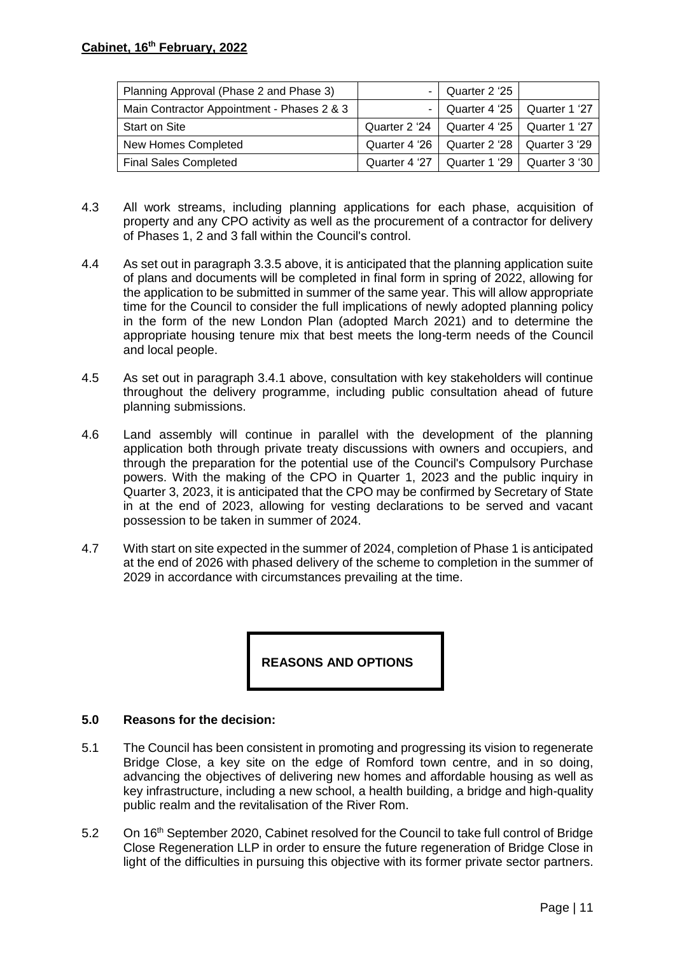| Planning Approval (Phase 2 and Phase 3)    | $\sim$ | Quarter 2 '25                                 |  |
|--------------------------------------------|--------|-----------------------------------------------|--|
| Main Contractor Appointment - Phases 2 & 3 | $\sim$ | $\vert$ Quarter 4 '25 $\vert$ Quarter 1 '27   |  |
| <b>Start on Site</b>                       |        | Quarter 2 '24   Quarter 4 '25   Quarter 1 '27 |  |
| New Homes Completed                        |        | Quarter 4 '26   Quarter 2 '28   Quarter 3 '29 |  |
| <b>Final Sales Completed</b>               |        | Quarter 4 '27   Quarter 1 '29   Quarter 3 '30 |  |

- 4.3 All work streams, including planning applications for each phase, acquisition of property and any CPO activity as well as the procurement of a contractor for delivery of Phases 1, 2 and 3 fall within the Council's control.
- 4.4 As set out in paragraph [3.3.5](#page-6-1) above, it is anticipated that the planning application suite of plans and documents will be completed in final form in spring of 2022, allowing for the application to be submitted in summer of the same year. This will allow appropriate time for the Council to consider the full implications of newly adopted planning policy in the form of the new London Plan (adopted March 2021) and to determine the appropriate housing tenure mix that best meets the long-term needs of the Council and local people.
- 4.5 As set out in paragraph [3.4.1](#page-6-0) above, consultation with key stakeholders will continue throughout the delivery programme, including public consultation ahead of future planning submissions.
- 4.6 Land assembly will continue in parallel with the development of the planning application both through private treaty discussions with owners and occupiers, and through the preparation for the potential use of the Council's Compulsory Purchase powers. With the making of the CPO in Quarter 1, 2023 and the public inquiry in Quarter 3, 2023, it is anticipated that the CPO may be confirmed by Secretary of State in at the end of 2023, allowing for vesting declarations to be served and vacant possession to be taken in summer of 2024.
- 4.7 With start on site expected in the summer of 2024, completion of Phase 1 is anticipated at the end of 2026 with phased delivery of the scheme to completion in the summer of 2029 in accordance with circumstances prevailing at the time.

**REASONS AND OPTIONS**

## **5.0 Reasons for the decision:**

- 5.1 The Council has been consistent in promoting and progressing its vision to regenerate Bridge Close, a key site on the edge of Romford town centre, and in so doing, advancing the objectives of delivering new homes and affordable housing as well as key infrastructure, including a new school, a health building, a bridge and high-quality public realm and the revitalisation of the River Rom.
- 5.2 On 16<sup>th</sup> September 2020, Cabinet resolved for the Council to take full control of Bridge Close Regeneration LLP in order to ensure the future regeneration of Bridge Close in light of the difficulties in pursuing this objective with its former private sector partners.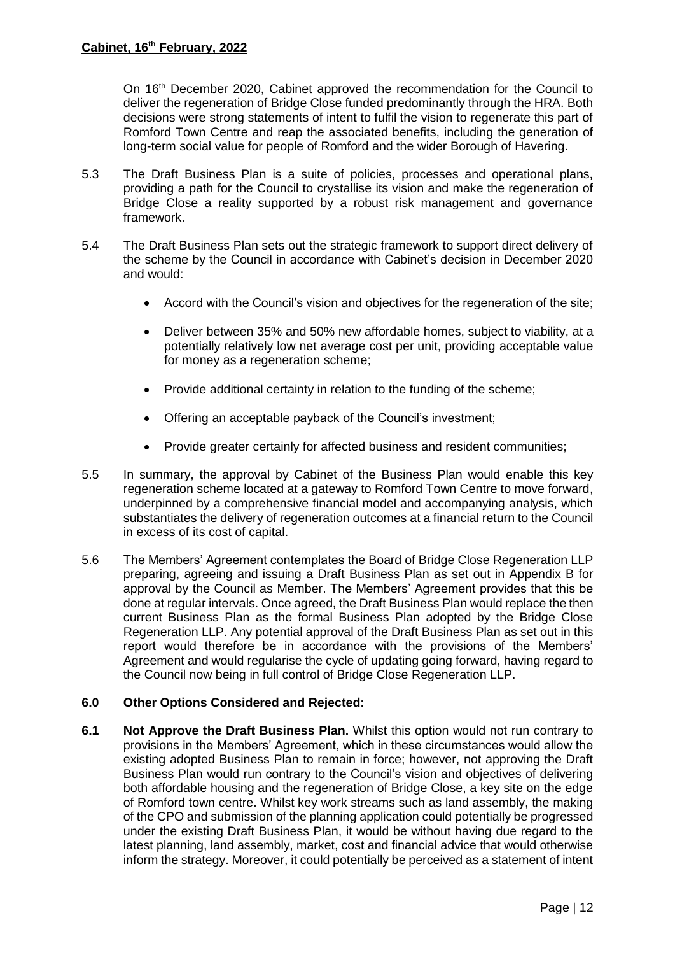On 16th December 2020, Cabinet approved the recommendation for the Council to deliver the regeneration of Bridge Close funded predominantly through the HRA. Both decisions were strong statements of intent to fulfil the vision to regenerate this part of Romford Town Centre and reap the associated benefits, including the generation of long-term social value for people of Romford and the wider Borough of Havering.

- 5.3 The Draft Business Plan is a suite of policies, processes and operational plans, providing a path for the Council to crystallise its vision and make the regeneration of Bridge Close a reality supported by a robust risk management and governance framework.
- 5.4 The Draft Business Plan sets out the strategic framework to support direct delivery of the scheme by the Council in accordance with Cabinet's decision in December 2020 and would:
	- Accord with the Council's vision and objectives for the regeneration of the site;
	- Deliver between 35% and 50% new affordable homes, subject to viability, at a potentially relatively low net average cost per unit, providing acceptable value for money as a regeneration scheme;
	- Provide additional certainty in relation to the funding of the scheme;
	- Offering an acceptable payback of the Council's investment;
	- Provide greater certainly for affected business and resident communities;
- 5.5 In summary, the approval by Cabinet of the Business Plan would enable this key regeneration scheme located at a gateway to Romford Town Centre to move forward, underpinned by a comprehensive financial model and accompanying analysis, which substantiates the delivery of regeneration outcomes at a financial return to the Council in excess of its cost of capital.
- 5.6 The Members' Agreement contemplates the Board of Bridge Close Regeneration LLP preparing, agreeing and issuing a Draft Business Plan as set out in Appendix B for approval by the Council as Member. The Members' Agreement provides that this be done at regular intervals. Once agreed, the Draft Business Plan would replace the then current Business Plan as the formal Business Plan adopted by the Bridge Close Regeneration LLP. Any potential approval of the Draft Business Plan as set out in this report would therefore be in accordance with the provisions of the Members' Agreement and would regularise the cycle of updating going forward, having regard to the Council now being in full control of Bridge Close Regeneration LLP.

## **6.0 Other Options Considered and Rejected:**

**6.1 Not Approve the Draft Business Plan.** Whilst this option would not run contrary to provisions in the Members' Agreement, which in these circumstances would allow the existing adopted Business Plan to remain in force; however, not approving the Draft Business Plan would run contrary to the Council's vision and objectives of delivering both affordable housing and the regeneration of Bridge Close, a key site on the edge of Romford town centre. Whilst key work streams such as land assembly, the making of the CPO and submission of the planning application could potentially be progressed under the existing Draft Business Plan, it would be without having due regard to the latest planning, land assembly, market, cost and financial advice that would otherwise inform the strategy. Moreover, it could potentially be perceived as a statement of intent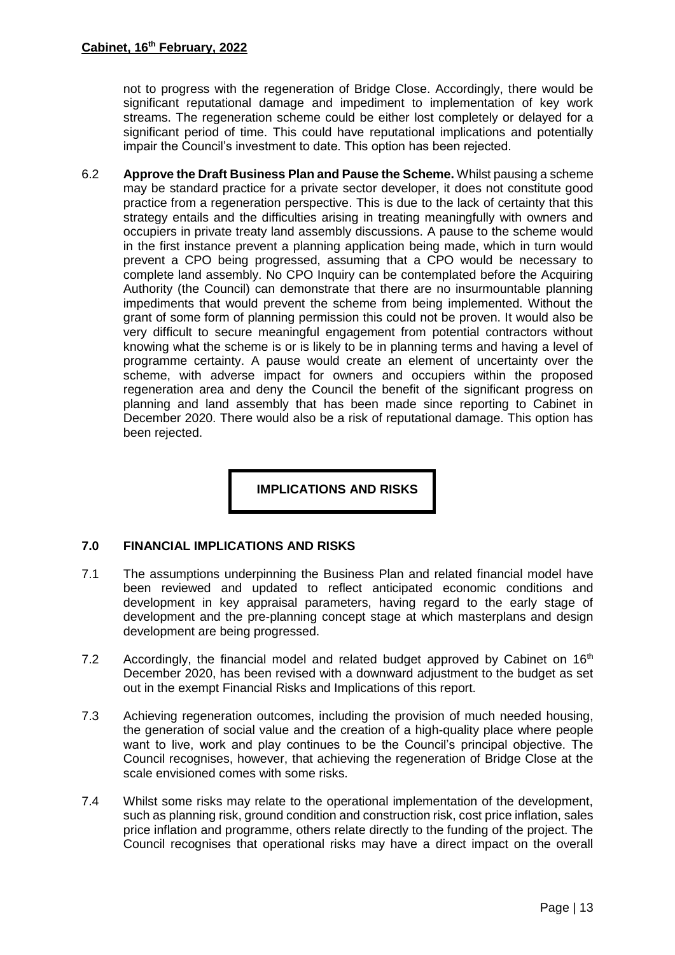not to progress with the regeneration of Bridge Close. Accordingly, there would be significant reputational damage and impediment to implementation of key work streams. The regeneration scheme could be either lost completely or delayed for a significant period of time. This could have reputational implications and potentially impair the Council's investment to date. This option has been rejected.

6.2 **Approve the Draft Business Plan and Pause the Scheme.** Whilst pausing a scheme may be standard practice for a private sector developer, it does not constitute good practice from a regeneration perspective. This is due to the lack of certainty that this strategy entails and the difficulties arising in treating meaningfully with owners and occupiers in private treaty land assembly discussions. A pause to the scheme would in the first instance prevent a planning application being made, which in turn would prevent a CPO being progressed, assuming that a CPO would be necessary to complete land assembly. No CPO Inquiry can be contemplated before the Acquiring Authority (the Council) can demonstrate that there are no insurmountable planning impediments that would prevent the scheme from being implemented. Without the grant of some form of planning permission this could not be proven. It would also be very difficult to secure meaningful engagement from potential contractors without knowing what the scheme is or is likely to be in planning terms and having a level of programme certainty. A pause would create an element of uncertainty over the scheme, with adverse impact for owners and occupiers within the proposed regeneration area and deny the Council the benefit of the significant progress on planning and land assembly that has been made since reporting to Cabinet in December 2020. There would also be a risk of reputational damage. This option has been rejected.

**IMPLICATIONS AND RISKS**

## <span id="page-13-0"></span>**7.0 FINANCIAL IMPLICATIONS AND RISKS**

- 7.1 The assumptions underpinning the Business Plan and related financial model have been reviewed and updated to reflect anticipated economic conditions and development in key appraisal parameters, having regard to the early stage of development and the pre-planning concept stage at which masterplans and design development are being progressed.
- 7.2 Accordingly, the financial model and related budget approved by Cabinet on  $16<sup>th</sup>$ December 2020, has been revised with a downward adjustment to the budget as set out in the exempt Financial Risks and Implications of this report.
- 7.3 Achieving regeneration outcomes, including the provision of much needed housing, the generation of social value and the creation of a high-quality place where people want to live, work and play continues to be the Council's principal objective. The Council recognises, however, that achieving the regeneration of Bridge Close at the scale envisioned comes with some risks.
- 7.4 Whilst some risks may relate to the operational implementation of the development, such as planning risk, ground condition and construction risk, cost price inflation, sales price inflation and programme, others relate directly to the funding of the project. The Council recognises that operational risks may have a direct impact on the overall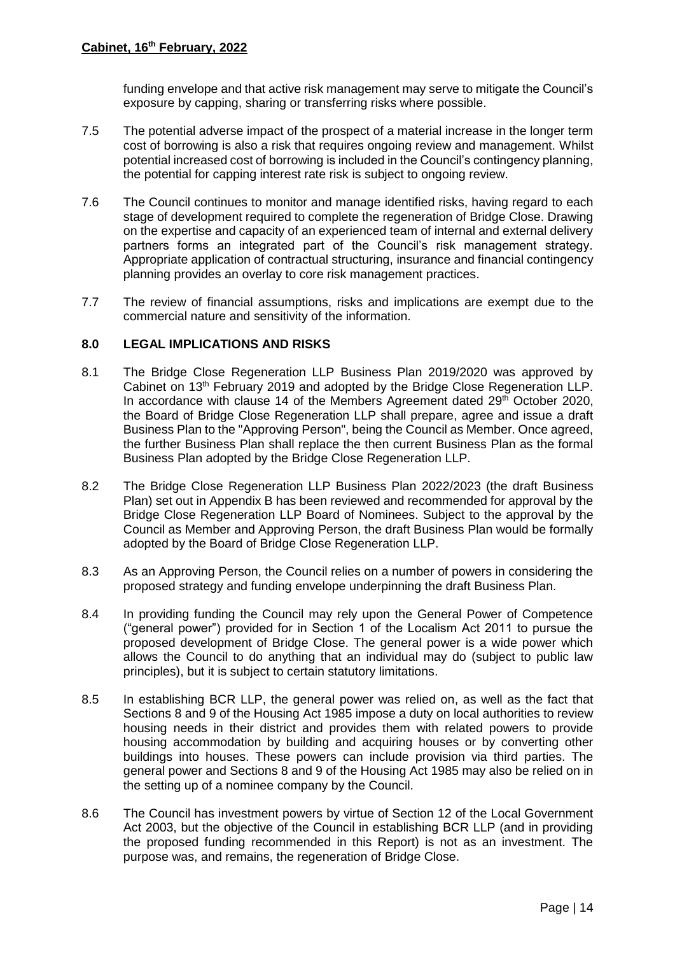funding envelope and that active risk management may serve to mitigate the Council's exposure by capping, sharing or transferring risks where possible.

- 7.5 The potential adverse impact of the prospect of a material increase in the longer term cost of borrowing is also a risk that requires ongoing review and management. Whilst potential increased cost of borrowing is included in the Council's contingency planning, the potential for capping interest rate risk is subject to ongoing review.
- 7.6 The Council continues to monitor and manage identified risks, having regard to each stage of development required to complete the regeneration of Bridge Close. Drawing on the expertise and capacity of an experienced team of internal and external delivery partners forms an integrated part of the Council's risk management strategy. Appropriate application of contractual structuring, insurance and financial contingency planning provides an overlay to core risk management practices.
- 7.7 The review of financial assumptions, risks and implications are exempt due to the commercial nature and sensitivity of the information.

## **8.0 LEGAL IMPLICATIONS AND RISKS**

- 8.1 The Bridge Close Regeneration LLP Business Plan 2019/2020 was approved by Cabinet on 13<sup>th</sup> February 2019 and adopted by the Bridge Close Regeneration LLP. In accordance with clause 14 of the Members Agreement dated  $29<sup>th</sup>$  October 2020, the Board of Bridge Close Regeneration LLP shall prepare, agree and issue a draft Business Plan to the "Approving Person", being the Council as Member. Once agreed, the further Business Plan shall replace the then current Business Plan as the formal Business Plan adopted by the Bridge Close Regeneration LLP.
- 8.2 The Bridge Close Regeneration LLP Business Plan 2022/2023 (the draft Business Plan) set out in Appendix B has been reviewed and recommended for approval by the Bridge Close Regeneration LLP Board of Nominees. Subject to the approval by the Council as Member and Approving Person, the draft Business Plan would be formally adopted by the Board of Bridge Close Regeneration LLP.
- 8.3 As an Approving Person, the Council relies on a number of powers in considering the proposed strategy and funding envelope underpinning the draft Business Plan.
- 8.4 In providing funding the Council may rely upon the General Power of Competence ("general power") provided for in Section 1 of the Localism Act 2011 to pursue the proposed development of Bridge Close. The general power is a wide power which allows the Council to do anything that an individual may do (subject to public law principles), but it is subject to certain statutory limitations.
- 8.5 In establishing BCR LLP, the general power was relied on, as well as the fact that Sections 8 and 9 of the Housing Act 1985 impose a duty on local authorities to review housing needs in their district and provides them with related powers to provide housing accommodation by building and acquiring houses or by converting other buildings into houses. These powers can include provision via third parties. The general power and Sections 8 and 9 of the Housing Act 1985 may also be relied on in the setting up of a nominee company by the Council.
- 8.6 The Council has investment powers by virtue of Section 12 of the Local Government Act 2003, but the objective of the Council in establishing BCR LLP (and in providing the proposed funding recommended in this Report) is not as an investment. The purpose was, and remains, the regeneration of Bridge Close.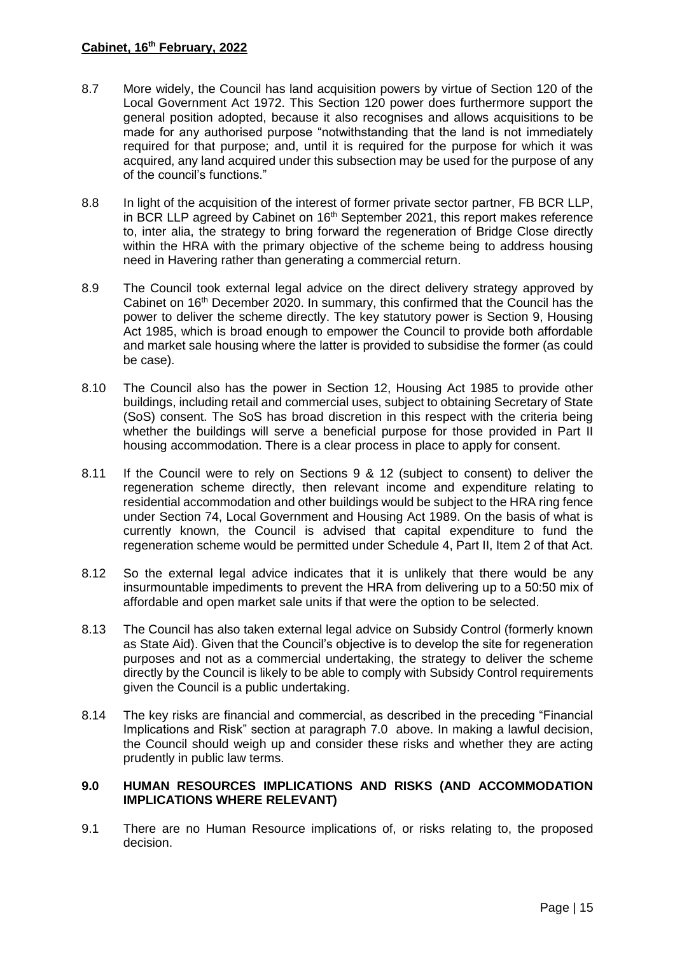- 8.7 More widely, the Council has land acquisition powers by virtue of Section 120 of the Local Government Act 1972. This Section 120 power does furthermore support the general position adopted, because it also recognises and allows acquisitions to be made for any authorised purpose "notwithstanding that the land is not immediately required for that purpose; and, until it is required for the purpose for which it was acquired, any land acquired under this subsection may be used for the purpose of any of the council's functions."
- 8.8 In light of the acquisition of the interest of former private sector partner, FB BCR LLP, in BCR LLP agreed by Cabinet on  $16<sup>th</sup>$  September 2021, this report makes reference to, inter alia, the strategy to bring forward the regeneration of Bridge Close directly within the HRA with the primary objective of the scheme being to address housing need in Havering rather than generating a commercial return.
- 8.9 The Council took external legal advice on the direct delivery strategy approved by Cabinet on  $16<sup>th</sup>$  December 2020. In summary, this confirmed that the Council has the power to deliver the scheme directly. The key statutory power is Section 9, Housing Act 1985, which is broad enough to empower the Council to provide both affordable and market sale housing where the latter is provided to subsidise the former (as could be case).
- 8.10 The Council also has the power in Section 12, Housing Act 1985 to provide other buildings, including retail and commercial uses, subject to obtaining Secretary of State (SoS) consent. The SoS has broad discretion in this respect with the criteria being whether the buildings will serve a beneficial purpose for those provided in Part II housing accommodation. There is a clear process in place to apply for consent.
- 8.11 If the Council were to rely on Sections 9 & 12 (subject to consent) to deliver the regeneration scheme directly, then relevant income and expenditure relating to residential accommodation and other buildings would be subject to the HRA ring fence under Section 74, Local Government and Housing Act 1989. On the basis of what is currently known, the Council is advised that capital expenditure to fund the regeneration scheme would be permitted under Schedule 4, Part II, Item 2 of that Act.
- 8.12 So the external legal advice indicates that it is unlikely that there would be any insurmountable impediments to prevent the HRA from delivering up to a 50:50 mix of affordable and open market sale units if that were the option to be selected.
- 8.13 The Council has also taken external legal advice on Subsidy Control (formerly known as State Aid). Given that the Council's objective is to develop the site for regeneration purposes and not as a commercial undertaking, the strategy to deliver the scheme directly by the Council is likely to be able to comply with Subsidy Control requirements given the Council is a public undertaking.
- 8.14 The key risks are financial and commercial, as described in the preceding "Financial Implications and Risk" section at paragraph [7.0](#page-13-0) above. In making a lawful decision, the Council should weigh up and consider these risks and whether they are acting prudently in public law terms.

## **9.0 HUMAN RESOURCES IMPLICATIONS AND RISKS (AND ACCOMMODATION IMPLICATIONS WHERE RELEVANT)**

9.1 There are no Human Resource implications of, or risks relating to, the proposed decision.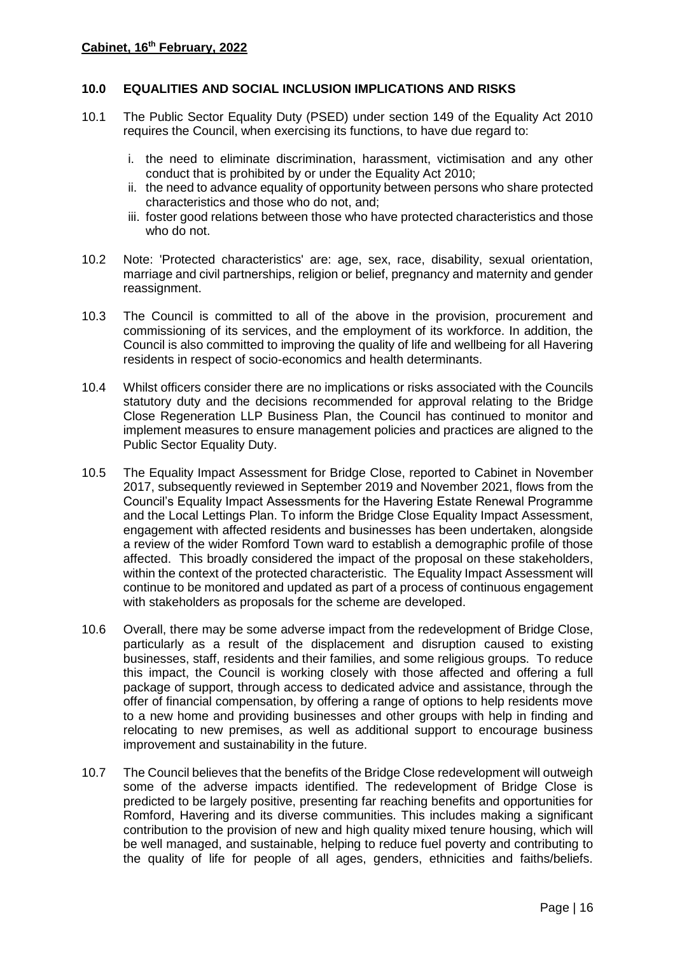### **10.0 EQUALITIES AND SOCIAL INCLUSION IMPLICATIONS AND RISKS**

- 10.1 The Public Sector Equality Duty (PSED) under section 149 of the Equality Act 2010 requires the Council, when exercising its functions, to have due regard to:
	- i. the need to eliminate discrimination, harassment, victimisation and any other conduct that is prohibited by or under the Equality Act 2010;
	- ii. the need to advance equality of opportunity between persons who share protected characteristics and those who do not, and;
	- iii. foster good relations between those who have protected characteristics and those who do not.
- 10.2 Note: 'Protected characteristics' are: age, sex, race, disability, sexual orientation, marriage and civil partnerships, religion or belief, pregnancy and maternity and gender reassignment.
- 10.3 The Council is committed to all of the above in the provision, procurement and commissioning of its services, and the employment of its workforce. In addition, the Council is also committed to improving the quality of life and wellbeing for all Havering residents in respect of socio-economics and health determinants.
- 10.4 Whilst officers consider there are no implications or risks associated with the Councils statutory duty and the decisions recommended for approval relating to the Bridge Close Regeneration LLP Business Plan, the Council has continued to monitor and implement measures to ensure management policies and practices are aligned to the Public Sector Equality Duty.
- 10.5 The Equality Impact Assessment for Bridge Close, reported to Cabinet in November 2017, subsequently reviewed in September 2019 and November 2021, flows from the Council's Equality Impact Assessments for the Havering Estate Renewal Programme and the Local Lettings Plan. To inform the Bridge Close Equality Impact Assessment, engagement with affected residents and businesses has been undertaken, alongside a review of the wider Romford Town ward to establish a demographic profile of those affected. This broadly considered the impact of the proposal on these stakeholders, within the context of the protected characteristic. The Equality Impact Assessment will continue to be monitored and updated as part of a process of continuous engagement with stakeholders as proposals for the scheme are developed.
- 10.6 Overall, there may be some adverse impact from the redevelopment of Bridge Close, particularly as a result of the displacement and disruption caused to existing businesses, staff, residents and their families, and some religious groups. To reduce this impact, the Council is working closely with those affected and offering a full package of support, through access to dedicated advice and assistance, through the offer of financial compensation, by offering a range of options to help residents move to a new home and providing businesses and other groups with help in finding and relocating to new premises, as well as additional support to encourage business improvement and sustainability in the future.
- 10.7 The Council believes that the benefits of the Bridge Close redevelopment will outweigh some of the adverse impacts identified. The redevelopment of Bridge Close is predicted to be largely positive, presenting far reaching benefits and opportunities for Romford, Havering and its diverse communities. This includes making a significant contribution to the provision of new and high quality mixed tenure housing, which will be well managed, and sustainable, helping to reduce fuel poverty and contributing to the quality of life for people of all ages, genders, ethnicities and faiths/beliefs.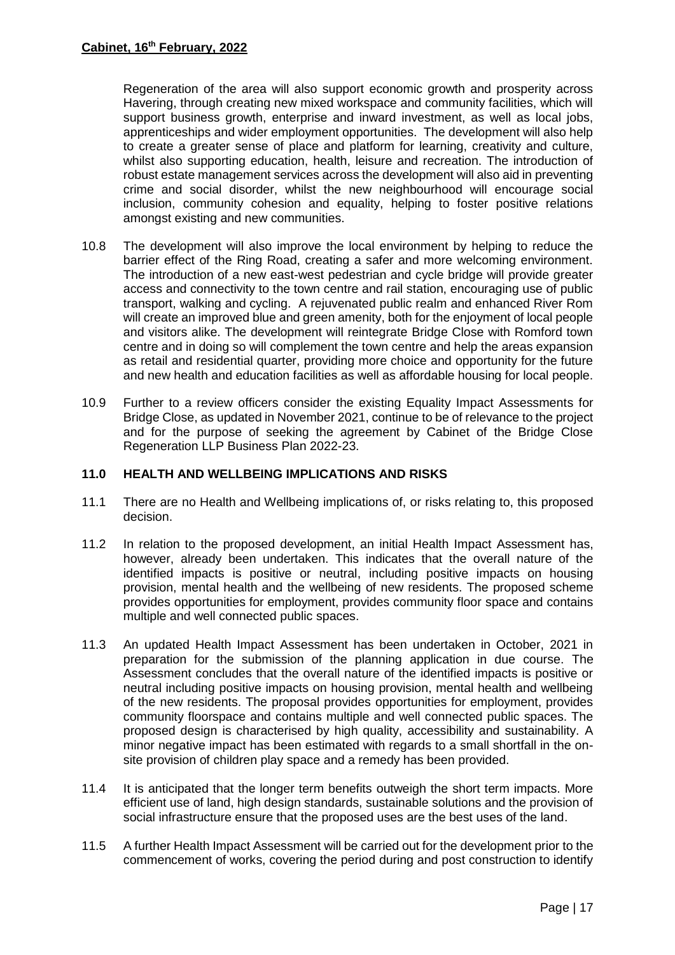Regeneration of the area will also support economic growth and prosperity across Havering, through creating new mixed workspace and community facilities, which will support business growth, enterprise and inward investment, as well as local jobs, apprenticeships and wider employment opportunities. The development will also help to create a greater sense of place and platform for learning, creativity and culture, whilst also supporting education, health, leisure and recreation. The introduction of robust estate management services across the development will also aid in preventing crime and social disorder, whilst the new neighbourhood will encourage social inclusion, community cohesion and equality, helping to foster positive relations amongst existing and new communities.

- 10.8 The development will also improve the local environment by helping to reduce the barrier effect of the Ring Road, creating a safer and more welcoming environment. The introduction of a new east-west pedestrian and cycle bridge will provide greater access and connectivity to the town centre and rail station, encouraging use of public transport, walking and cycling. A rejuvenated public realm and enhanced River Rom will create an improved blue and green amenity, both for the enjoyment of local people and visitors alike. The development will reintegrate Bridge Close with Romford town centre and in doing so will complement the town centre and help the areas expansion as retail and residential quarter, providing more choice and opportunity for the future and new health and education facilities as well as affordable housing for local people.
- 10.9 Further to a review officers consider the existing Equality Impact Assessments for Bridge Close, as updated in November 2021, continue to be of relevance to the project and for the purpose of seeking the agreement by Cabinet of the Bridge Close Regeneration LLP Business Plan 2022-23.

## **11.0 HEALTH AND WELLBEING IMPLICATIONS AND RISKS**

- 11.1 There are no Health and Wellbeing implications of, or risks relating to, this proposed decision.
- 11.2 In relation to the proposed development, an initial Health Impact Assessment has, however, already been undertaken. This indicates that the overall nature of the identified impacts is positive or neutral, including positive impacts on housing provision, mental health and the wellbeing of new residents. The proposed scheme provides opportunities for employment, provides community floor space and contains multiple and well connected public spaces.
- 11.3 An updated Health Impact Assessment has been undertaken in October, 2021 in preparation for the submission of the planning application in due course. The Assessment concludes that the overall nature of the identified impacts is positive or neutral including positive impacts on housing provision, mental health and wellbeing of the new residents. The proposal provides opportunities for employment, provides community floorspace and contains multiple and well connected public spaces. The proposed design is characterised by high quality, accessibility and sustainability. A minor negative impact has been estimated with regards to a small shortfall in the onsite provision of children play space and a remedy has been provided.
- 11.4 It is anticipated that the longer term benefits outweigh the short term impacts. More efficient use of land, high design standards, sustainable solutions and the provision of social infrastructure ensure that the proposed uses are the best uses of the land.
- 11.5 A further Health Impact Assessment will be carried out for the development prior to the commencement of works, covering the period during and post construction to identify